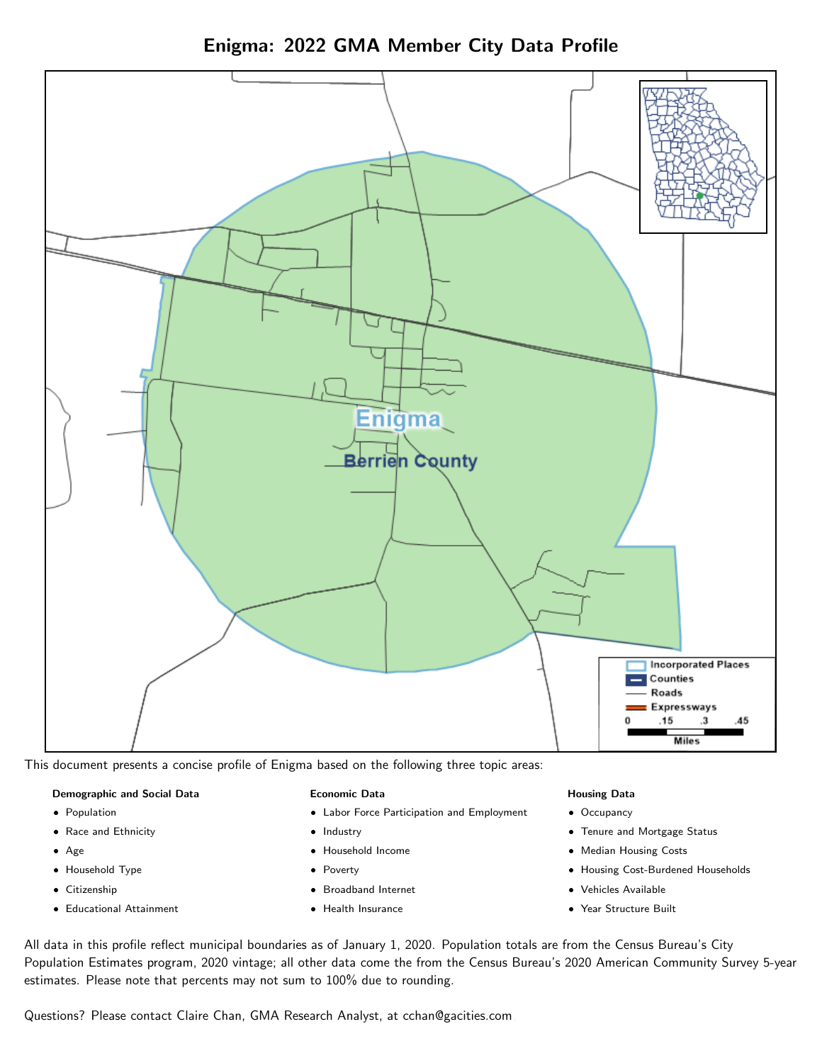

Enigma: 2022 GMA Member City Data Profile

This document presents a concise profile of Enigma based on the following three topic areas:

#### Demographic and Social Data

- **•** Population
- Race and Ethnicity
- Age
- Household Type
- **Citizenship**
- Educational Attainment

#### Economic Data

- Labor Force Participation and Employment
- Industry
- Household Income
- Poverty
- Broadband Internet
- Health Insurance

#### Housing Data

- Occupancy
- Tenure and Mortgage Status
- Median Housing Costs
- Housing Cost-Burdened Households
- Vehicles Available
- Year Structure Built

All data in this profile reflect municipal boundaries as of January 1, 2020. Population totals are from the Census Bureau's City Population Estimates program, 2020 vintage; all other data come the from the Census Bureau's 2020 American Community Survey 5-year estimates. Please note that percents may not sum to 100% due to rounding.

Questions? Please contact Claire Chan, GMA Research Analyst, at [cchan@gacities.com.](mailto:cchan@gacities.com)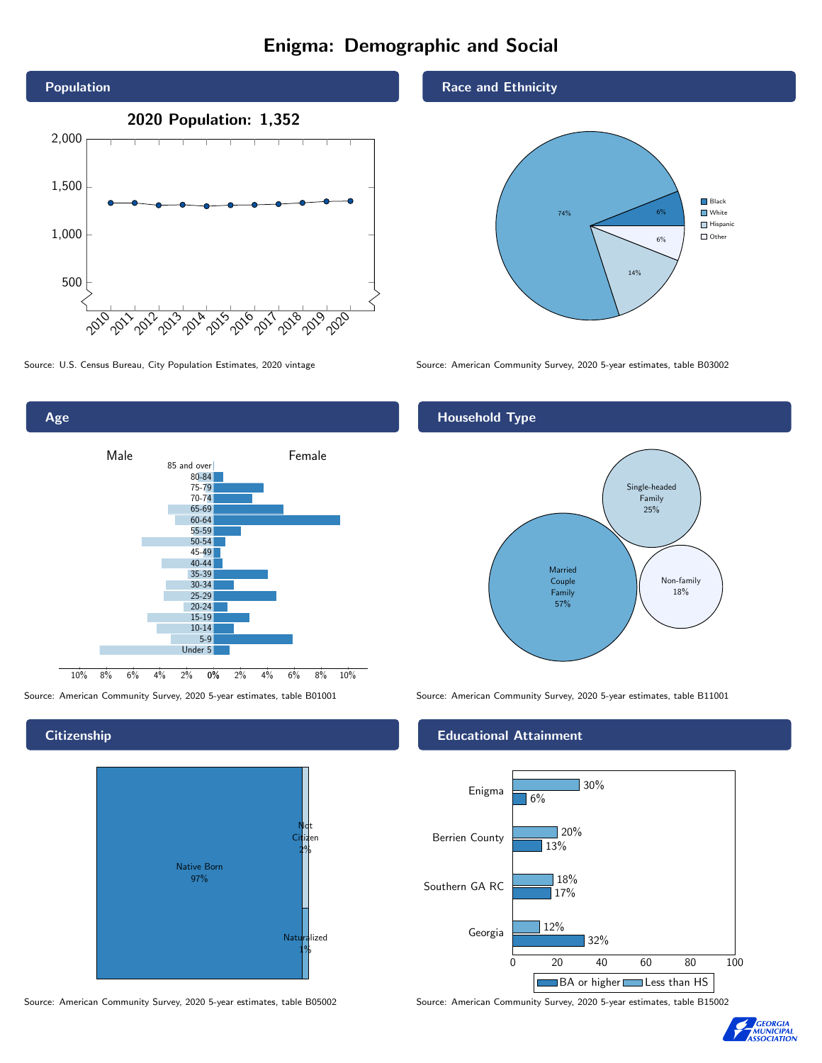# Enigma: Demographic and Social



Age  $2\%$  4% 6% 8% 10% Male **Female** 10% 8% 6% 4% 2% 85 and over 80-84 75-79 70-74 65-69 60-64 55-59 50-54 45-49 40-44 35-39 30-34 25-29 20-24 15-19 10-14 5-9 Under 5

#### **Citizenship**



Source: American Community Survey, 2020 5-year estimates, table B05002 Source: American Community Survey, 2020 5-year estimates, table B15002

#### Race and Ethnicity



Source: U.S. Census Bureau, City Population Estimates, 2020 vintage Source: American Community Survey, 2020 5-year estimates, table B03002

#### Household Type



Source: American Community Survey, 2020 5-year estimates, table B01001 Source: American Community Survey, 2020 5-year estimates, table B11001

#### Educational Attainment



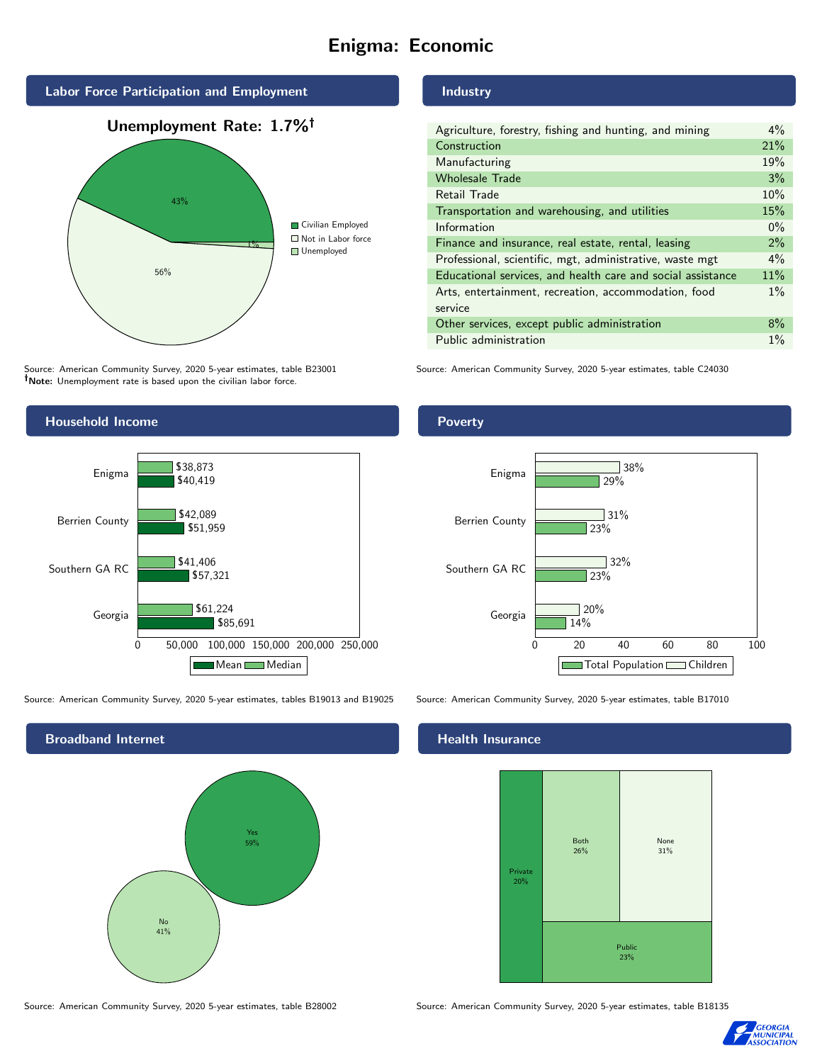# Enigma: Economic



Source: American Community Survey, 2020 5-year estimates, table B23001 Note: Unemployment rate is based upon the civilian labor force.

#### Industry

| Agriculture, forestry, fishing and hunting, and mining      | $4\%$ |
|-------------------------------------------------------------|-------|
| Construction                                                | 21%   |
| Manufacturing                                               | 19%   |
| <b>Wholesale Trade</b>                                      | 3%    |
| Retail Trade                                                | 10%   |
| Transportation and warehousing, and utilities               | 15%   |
| Information                                                 | $0\%$ |
| Finance and insurance, real estate, rental, leasing         | 2%    |
| Professional, scientific, mgt, administrative, waste mgt    | $4\%$ |
| Educational services, and health care and social assistance | 11%   |
| Arts, entertainment, recreation, accommodation, food        | $1\%$ |
| service                                                     |       |
| Other services, except public administration                | 8%    |
| Public administration                                       | $1\%$ |

Source: American Community Survey, 2020 5-year estimates, table C24030



Source: American Community Survey, 2020 5-year estimates, tables B19013 and B19025 Source: American Community Survey, 2020 5-year estimates, table B17010

Broadband Internet No 41% Yes 59%

#### Health Insurance





#### **Poverty**